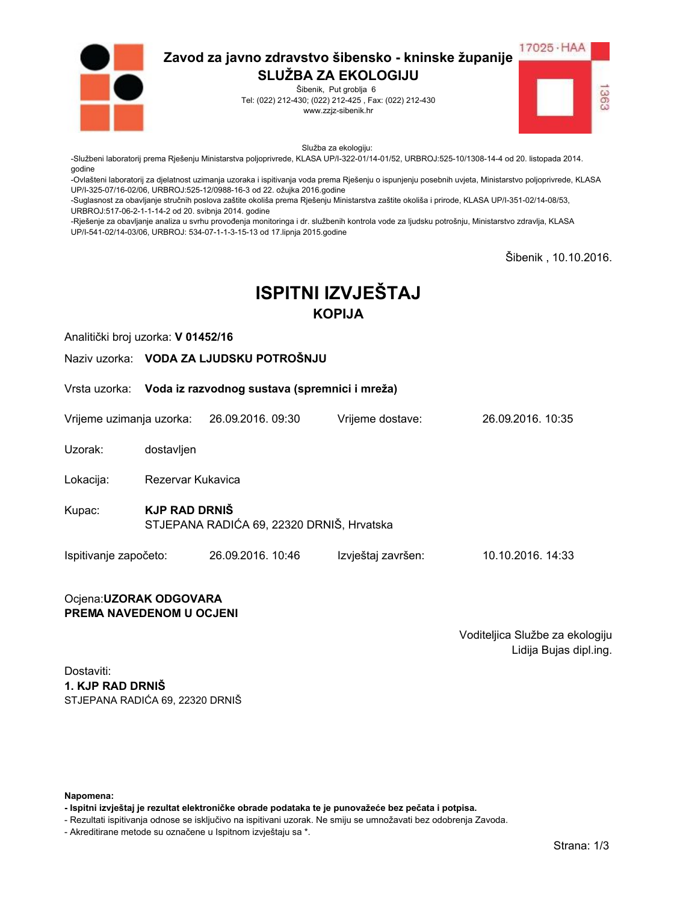

Šibenik, Put groblja 6 Tel: (022) 212-430; (022) 212-425, Fax: (022) 212-430 www.zzjz-sibenik.hr



Služba za ekologiju:

-Službeni laboratorij prema Rješenju Ministarstva poljoprivrede, KLASA UP/I-322-01/14-01/52, URBROJ:525-10/1308-14-4 od 20. listopada 2014. godine

-<br>-Ovlašteni laboratorij za djelatnost uzimanja uzoraka i ispitivanja voda prema Rješenju o ispunjenju posebnih uvjeta, Ministarstvo poljoprivrede, KLASA UP/I-325-07/16-02/06. URBROJ:525-12/0988-16-3 od 22. ožujka 2016.godine

-Suglasnost za obavljanje stručnih poslova zaštite okoliša prema Rješenju Ministarstva zaštite okoliša i prirode, KLASA UP/I-351-02/14-08/53, URBROJ:517-06-2-1-1-14-2 od 20. svibnja 2014. godine

-Rješenje za obavljanje analiza u svrhu provođenja monitoringa i dr. službenih kontrola vode za ljudsku potrošnju, Ministarstvo zdravlja, KLASA UP/I-541-02/14-03/06, URBROJ: 534-07-1-1-3-15-13 od 17.lipnja 2015.godine

Šibenik, 10.10.2016.

# **ISPITNI IZVJEŠTAJ KOPIJA**

Analitički broj uzorka: V 01452/16

Naziv uzorka: VODA ZA LJUDSKU POTROŠNJU

Vrsta uzorka: Voda iz razvodnog sustava (spremnici i mreža)

Vrijeme uzimanja uzorka: 26.09.2016, 09:30 Vrijeme dostave:

Uzorak: dostavljen

Lokacija: Rezervar Kukavica

**KJP RAD DRNIŠ** Kupac: STJEPANA RADIĆA 69, 22320 DRNIŠ, Hrvatska

Ispitivanje započeto: 26.09.2016. 10:46 Izvještaj završen: 10.10.2016. 14:33

#### Ocjena: UZORAK ODGOVARA PREMA NAVEDENOM U OCJENI

Voditeljica Službe za ekologiju Lidija Bujas dipl.ing.

26.09.2016 10:35

Dostaviti: 1. KJP RAD DRNIŠ STJEPANA RADIĆA 69. 22320 DRNIŠ

Napomena:

- Ispitni izvještaj je rezultat elektroničke obrade podataka te je punovažeće bez pečata i potpisa.

- Rezultati ispitivanja odnose se isključivo na ispitivani uzorak. Ne smiju se umnožavati bez odobrenja Zavoda.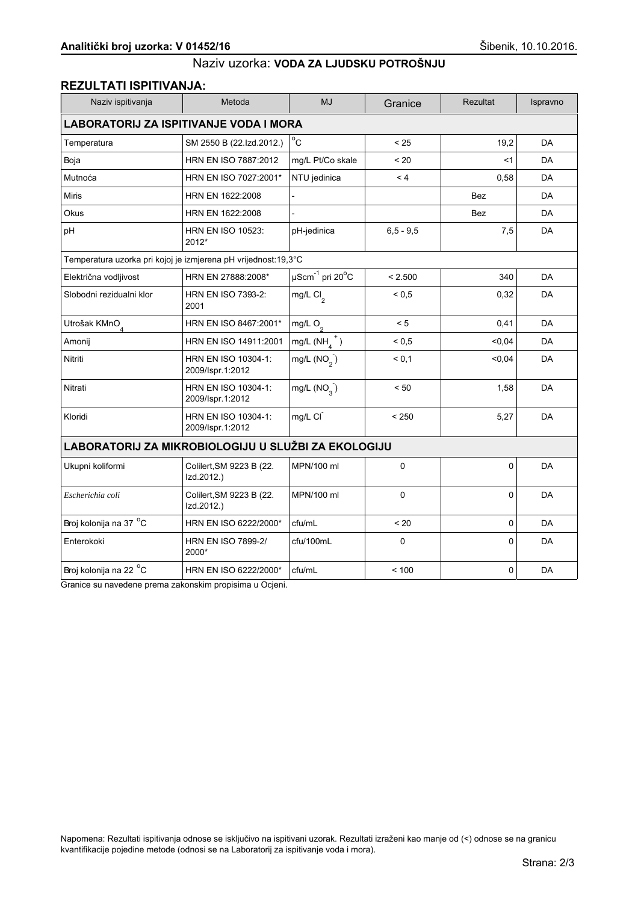## **REZULTATI ISPITIVANJA:**

| Naziv ispitivanja                                              | Metoda                                  | <b>MJ</b>                                   | Granice      | Rezultat | Ispravno  |  |
|----------------------------------------------------------------|-----------------------------------------|---------------------------------------------|--------------|----------|-----------|--|
| <b>LABORATORIJ ZA ISPITIVANJE VODA I MORA</b>                  |                                         |                                             |              |          |           |  |
| Temperatura                                                    | SM 2550 B (22.Izd.2012.)                | $^{\circ}$ C                                | < 25         | 19.2     | <b>DA</b> |  |
| Boja                                                           | HRN EN ISO 7887:2012                    | mg/L Pt/Co skale                            | < 20         | <1       | DA        |  |
| Mutnoća                                                        | HRN EN ISO 7027:2001*                   | NTU jedinica                                | < 4          | 0,58     | <b>DA</b> |  |
| <b>Miris</b>                                                   | HRN EN 1622:2008                        |                                             |              | Bez      | <b>DA</b> |  |
| <b>Okus</b>                                                    | HRN EN 1622:2008                        | $\overline{a}$                              |              | Bez      | DA        |  |
| pH                                                             | <b>HRN EN ISO 10523:</b><br>2012*       | pH-jedinica                                 | $6.5 - 9.5$  | 7,5      | DA        |  |
| Temperatura uzorka pri kojoj je izmjerena pH vrijednost:19,3°C |                                         |                                             |              |          |           |  |
| Električna vodljivost                                          | HRN EN 27888:2008*                      | $\mu$ Scm <sup>-1</sup> pri 20 $^{\circ}$ C | < 2.500      | 340      | DA        |  |
| Slobodni rezidualni klor                                       | HRN EN ISO 7393-2:<br>2001              | mg/L $Cl_2$                                 | ${}^{5}$ 0.5 | 0,32     | <b>DA</b> |  |
| Utrošak KMnO <sub>4</sub>                                      | HRN EN ISO 8467:2001*                   | mg/L $O_2$                                  | < 5          | 0,41     | DA        |  |
| Amonij                                                         | HRN EN ISO 14911:2001                   | mg/L $(NH_a^+)$                             | ${}_{0,5}$   | < 0.04   | <b>DA</b> |  |
| Nitriti                                                        | HRN EN ISO 10304-1:<br>2009/Ispr.1:2012 | mg/L $(NO_2)$                               | < 0.1        | < 0.04   | DA        |  |
| Nitrati                                                        | HRN EN ISO 10304-1:<br>2009/Ispr.1:2012 | mg/L $(NO2)$                                | < 50         | 1,58     | DA        |  |
| Kloridi                                                        | HRN EN ISO 10304-1:<br>2009/Ispr.1:2012 | mg/L CI                                     | < 250        | 5,27     | DA        |  |
| LABORATORIJ ZA MIKROBIOLOGIJU U SLUŽBI ZA EKOLOGIJU            |                                         |                                             |              |          |           |  |
| Ukupni koliformi                                               | Colilert, SM 9223 B (22.<br>Izd.2012.)  | MPN/100 ml                                  | 0            | 0        | <b>DA</b> |  |
| Escherichia coli                                               | Colilert, SM 9223 B (22.<br>Izd.2012.)  | MPN/100 ml                                  | 0            | 0        | DA        |  |
| Broj kolonija na 37 °C                                         | HRN EN ISO 6222/2000*                   | cfu/mL                                      | < 20         | 0        | <b>DA</b> |  |
| Enterokoki                                                     | <b>HRN EN ISO 7899-2/</b><br>2000*      | cfu/100mL                                   | $\mathbf 0$  | $\Omega$ | DA        |  |
| Broj kolonija na 22 °C                                         | HRN EN ISO 6222/2000*                   | cfu/mL                                      | < 100        | 0        | DA        |  |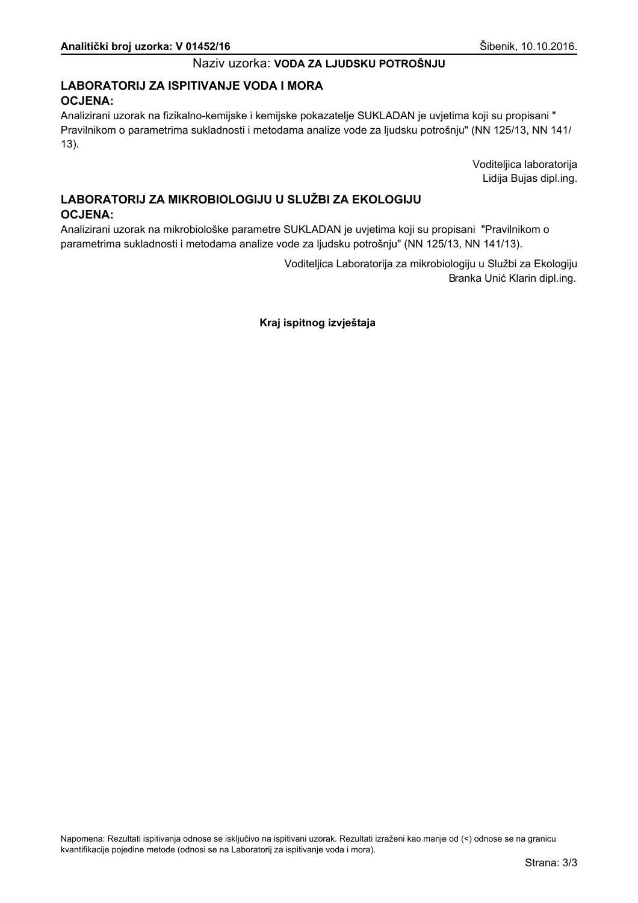## LABORATORIJ ZA ISPITIVANJE VODA I MORA **OCJENA:**

Analizirani uzorak na fizikalno-kemijske i kemijske pokazatelje SUKLADAN je uvjetima koji su propisani " Pravilnikom o parametrima sukladnosti i metodama analize vode za ljudsku potrošnju" (NN 125/13, NN 141/  $13$ ).

> Voditeljica laboratorija Lidija Bujas dipl.ing.

# LABORATORIJ ZA MIKROBIOLOGIJU U SLUŽBI ZA EKOLOGIJU **OCJENA:**

Analizirani uzorak na mikrobiološke parametre SUKLADAN je uvjetima koji su propisani "Pravilnikom o parametrima sukladnosti i metodama analize vode za ljudsku potrošnju" (NN 125/13, NN 141/13).

> Voditeljica Laboratorija za mikrobiologiju u Službi za Ekologiju Branka Unić Klarin dipl.ing.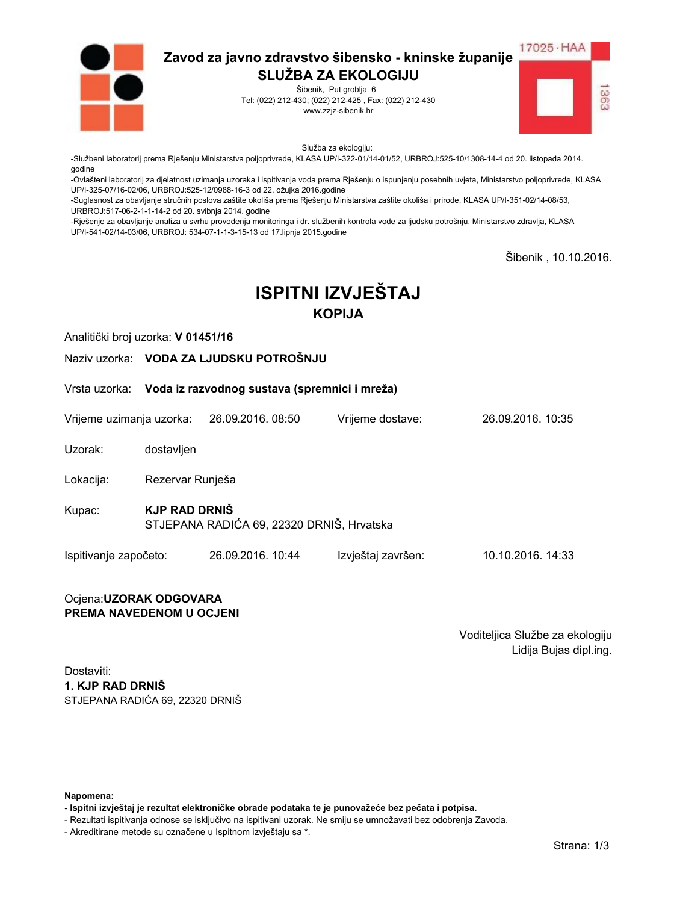

Šibenik, Put groblja 6 Tel: (022) 212-430; (022) 212-425, Fax: (022) 212-430 www.zzjz-sibenik.hr



Služba za ekologiju:

-Službeni laboratorij prema Rješenju Ministarstva poljoprivrede, KLASA UP/I-322-01/14-01/52, URBROJ:525-10/1308-14-4 od 20. listopada 2014. godine

-<br>-Ovlašteni laboratorij za djelatnost uzimanja uzoraka i ispitivanja voda prema Rješenju o ispunjenju posebnih uvjeta, Ministarstvo poljoprivrede, KLASA UP/I-325-07/16-02/06. URBROJ:525-12/0988-16-3 od 22. ožujka 2016.godine

-Suglasnost za obavljanje stručnih poslova zaštite okoliša prema Rješenju Ministarstva zaštite okoliša i prirode, KLASA UP/I-351-02/14-08/53, URBROJ:517-06-2-1-1-14-2 od 20. svibnja 2014. godine

-Rješenje za obavljanje analiza u svrhu provođenja monitoringa i dr. službenih kontrola vode za ljudsku potrošnju, Ministarstvo zdravlja, KLASA UP/I-541-02/14-03/06, URBROJ: 534-07-1-1-3-15-13 od 17.lipnja 2015.godine

Šibenik, 10.10.2016.

# **ISPITNI IZVJEŠTAJ KOPIJA**

Analitički broj uzorka: V 01451/16

Naziv uzorka: VODA ZA LJUDSKU POTROŠNJU

Vrsta uzorka: Voda iz razvodnog sustava (spremnici i mreža)

Vrijeme uzimanja uzorka: 26.09.2016, 08:50 Vrijeme dostave: 26.09.2016 10:35

Uzorak: dostavljen

Lokacija: Rezervar Runješa

**KJP RAD DRNIŠ** Kupac: STJEPANA RADIĆA 69, 22320 DRNIŠ, Hrvatska

Ispitivanje započeto: 26.09.2016. 10:44 Izvještaj završen: 10.10.2016. 14:33

#### Ocjena: UZORAK ODGOVARA PREMA NAVEDENOM U OCJENI

Voditeljica Službe za ekologiju Lidija Bujas dipl.ing.

Dostaviti: 1. KJP RAD DRNIŠ STJEPANA RADIĆA 69. 22320 DRNIŠ

Napomena:

- Ispitni izvještaj je rezultat elektroničke obrade podataka te je punovažeće bez pečata i potpisa.

- Rezultati ispitivanja odnose se isključivo na ispitivani uzorak. Ne smiju se umnožavati bez odobrenja Zavoda.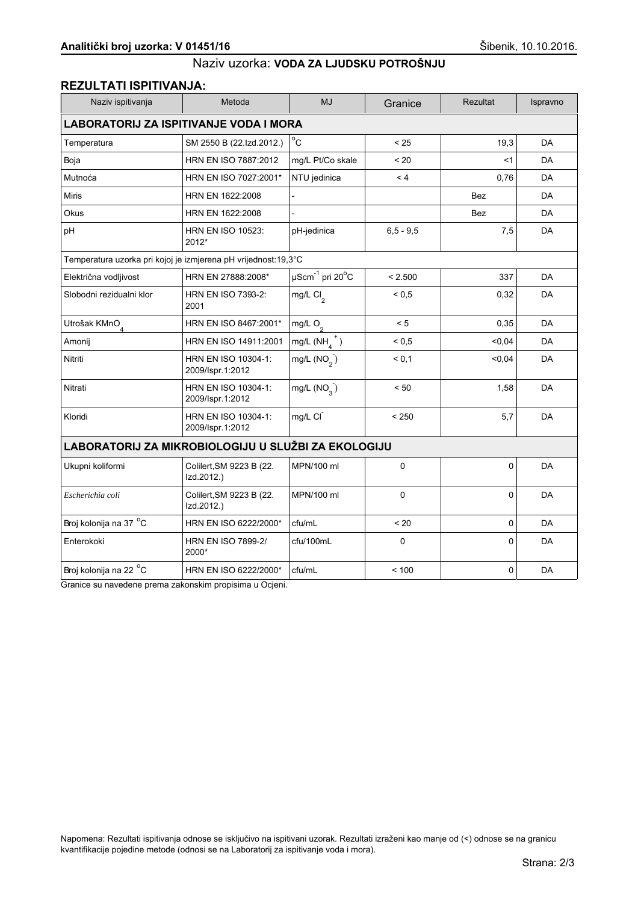## **REZULTATI ISPITIVANJA:**

| Naziv ispitivanja                                              | Metoda                                  | <b>MJ</b>                             | Granice     | Rezultat   | Ispravno  |  |
|----------------------------------------------------------------|-----------------------------------------|---------------------------------------|-------------|------------|-----------|--|
| <b>LABORATORIJ ZA ISPITIVANJE VODA I MORA</b>                  |                                         |                                       |             |            |           |  |
| Temperatura                                                    | SM 2550 B (22.Izd.2012.)                | $^{\circ}$ C                          | < 25        | 19,3       | <b>DA</b> |  |
| Boja                                                           | HRN EN ISO 7887:2012                    | mg/L Pt/Co skale                      | ~120        | $<$ 1      | DA        |  |
| Mutnoća                                                        | HRN EN ISO 7027:2001*                   | NTU jedinica                          | < 4         | 0,76       | DA        |  |
| <b>Miris</b>                                                   | HRN EN 1622:2008                        |                                       |             | <b>Bez</b> | DA        |  |
| Okus                                                           | HRN EN 1622:2008                        |                                       |             | <b>Bez</b> | <b>DA</b> |  |
| pH                                                             | <b>HRN EN ISO 10523:</b><br>2012*       | pH-jedinica                           | $6.5 - 9.5$ | 7,5        | DA        |  |
| Temperatura uzorka pri kojoj je izmjerena pH vrijednost:19,3°C |                                         |                                       |             |            |           |  |
| Električna vodljivost                                          | HRN EN 27888:2008*                      | $\mu$ Scm $^{-1}$ pri 20 $^{\circ}$ C | < 2.500     | 337        | <b>DA</b> |  |
| Slobodni rezidualni klor                                       | <b>HRN EN ISO 7393-2:</b><br>2001       | mg/L Cl <sub>2</sub>                  | ${}_{0.5}$  | 0,32       | DA        |  |
| Utrošak KMnO <sub>4</sub>                                      | HRN EN ISO 8467:2001*                   | mg/L $O_2$                            | < 5         | 0,35       | DA        |  |
| Amonij                                                         | HRN EN ISO 14911:2001                   | mg/L $(NH_4^+)$                       | ${}_{0,5}$  | < 0, 04    | DA        |  |
| Nitriti                                                        | HRN EN ISO 10304-1:<br>2009/Ispr.1:2012 | mg/L $(NO2)$                          | < 0,1       | 0,04       | DA        |  |
| Nitrati                                                        | HRN EN ISO 10304-1:<br>2009/Ispr.1:2012 | mg/L $(NO2)$                          | < 50        | 1,58       | DA        |  |
| Kloridi                                                        | HRN EN ISO 10304-1:<br>2009/Ispr.1:2012 | mg/L CI                               | < 250       | 5.7        | <b>DA</b> |  |
| LABORATORIJ ZA MIKROBIOLOGIJU U SLUŽBI ZA EKOLOGIJU            |                                         |                                       |             |            |           |  |
| Ukupni koliformi                                               | Colilert, SM 9223 B (22.<br>Izd.2012.)  | MPN/100 ml                            | $\mathbf 0$ | 0          | DA        |  |
| Escherichia coli                                               | Colilert, SM 9223 B (22.<br>Izd.2012.)  | MPN/100 ml                            | 0           | 0          | DA        |  |
| Broj kolonija na 37 °C                                         | HRN EN ISO 6222/2000*                   | cfu/mL                                | < 20        | 0          | <b>DA</b> |  |
| Enterokoki                                                     | <b>HRN EN ISO 7899-2/</b><br>2000*      | cfu/100mL                             | $\Omega$    | $\Omega$   | DA        |  |
| Broj kolonija na 22 °C                                         | HRN EN ISO 6222/2000*                   | cfu/mL                                | < 100       | 0          | DA        |  |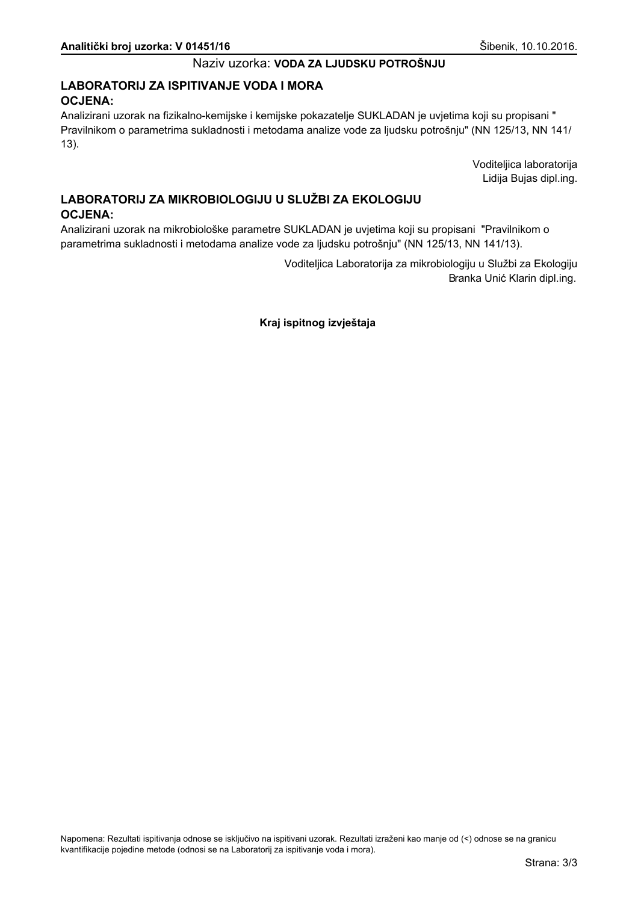## LABORATORIJ ZA ISPITIVANJE VODA I MORA **OCJENA:**

Analizirani uzorak na fizikalno-kemijske i kemijske pokazatelje SUKLADAN je uvjetima koji su propisani " Pravilnikom o parametrima sukladnosti i metodama analize vode za ljudsku potrošnju" (NN 125/13, NN 141/  $13$ ).

> Voditeljica laboratorija Lidija Bujas dipl.ing.

## LABORATORIJ ZA MIKROBIOLOGIJU U SLUŽBI ZA EKOLOGIJU **OCJENA:**

Analizirani uzorak na mikrobiološke parametre SUKLADAN je uvjetima koji su propisani "Pravilnikom o parametrima sukladnosti i metodama analize vode za ljudsku potrošnju" (NN 125/13, NN 141/13).

> Voditeljica Laboratorija za mikrobiologiju u Službi za Ekologiju Branka Unić Klarin dipl.ing.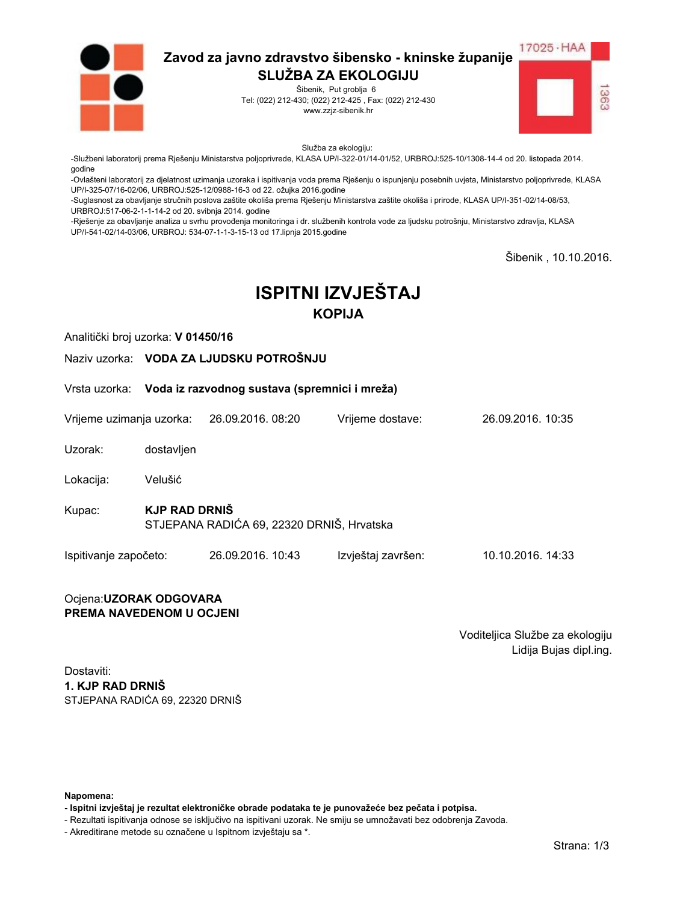

Šibenik, Put groblja 6 Tel: (022) 212-430; (022) 212-425, Fax: (022) 212-430 www.zzjz-sibenik.hr



Služba za ekologiju:

-Službeni laboratorij prema Rješenju Ministarstva poljoprivrede, KLASA UP/I-322-01/14-01/52, URBROJ:525-10/1308-14-4 od 20. listopada 2014. godine

-Ovlašteni laboratorij za djelatnost uzimanja uzoraka i ispitivanja voda prema Rješenju o ispunjenju posebnih uvjeta, Ministarstvo poljoprivrede, KLASA UP/I-325-07/16-02/06. URBROJ:525-12/0988-16-3 od 22. ožujka 2016.godine

-Suglasnost za obavljanje stručnih poslova zaštite okoliša prema Rješenju Ministarstva zaštite okoliša i prirode, KLASA UP/I-351-02/14-08/53, URBROJ:517-06-2-1-1-14-2 od 20. svibnja 2014. godine

-Rješenje za obavljanje analiza u svrhu provođenja monitoringa i dr. službenih kontrola vode za ljudsku potrošnju, Ministarstvo zdravlja, KLASA UP/I-541-02/14-03/06, URBROJ: 534-07-1-1-3-15-13 od 17.lipnja 2015.godine

Šibenik, 10.10.2016.

# **ISPITNI IZVJEŠTAJ KOPIJA**

Vrijeme dostave:

Analitički broj uzorka: V 01450/16

Naziv uzorka: VODA ZA LJUDSKU POTROŠNJU

Vrsta uzorka: Voda iz razvodnog sustava (spremnici i mreža)

Vrijeme uzimanja uzorka: 26.09.2016, 08:20

Uzorak: dostavljen

Lokacija: Velušić

**KJP RAD DRNIŠ** Kupac: STJEPANA RADIĆA 69, 22320 DRNIŠ, Hrvatska

Ispitivanje započeto: 26.09.2016. 10:43 Izvještaj završen: 10.10.2016. 14:33

#### Ocjena: UZORAK ODGOVARA PREMA NAVEDENOM U OCJENI

Voditeljica Službe za ekologiju Lidija Bujas dipl.ing.

26.09.2016 10:35

Dostaviti: 1. KJP RAD DRNIŠ STJEPANA RADIĆA 69. 22320 DRNIŠ

Napomena:

- Ispitni izvještaj je rezultat elektroničke obrade podataka te je punovažeće bez pečata i potpisa.

- Rezultati ispitivanja odnose se isključivo na ispitivani uzorak. Ne smiju se umnožavati bez odobrenja Zavoda.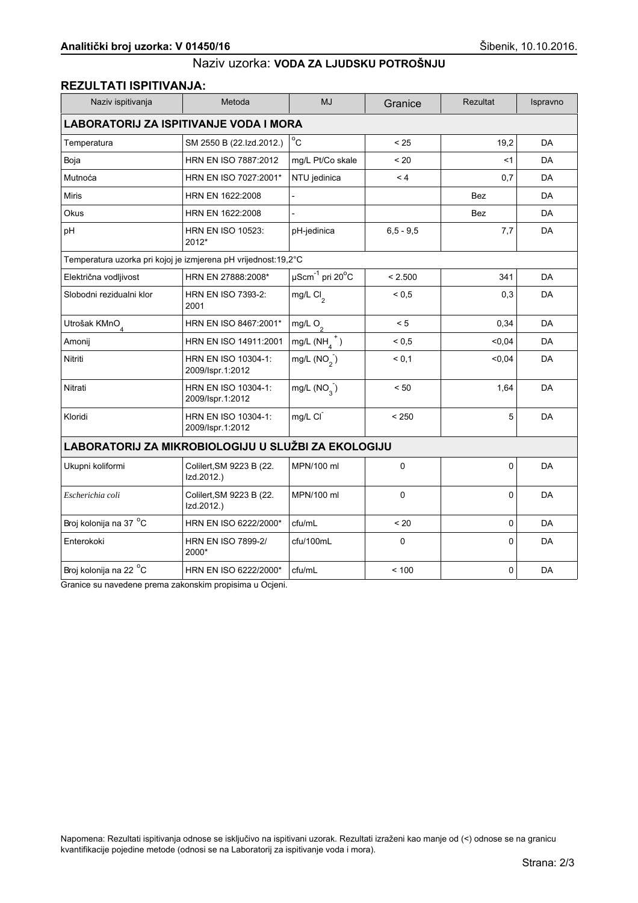## **REZULTATI ISPITIVANJA:**

| Naziv ispitivanja                                              | Metoda                                  | <b>MJ</b>                             | Granice     | <b>Rezultat</b> | Ispravno  |  |
|----------------------------------------------------------------|-----------------------------------------|---------------------------------------|-------------|-----------------|-----------|--|
| <b>LABORATORIJ ZA ISPITIVANJE VODA I MORA</b>                  |                                         |                                       |             |                 |           |  |
| Temperatura                                                    | SM 2550 B (22.Izd.2012.)                | $^{\circ}$ C                          | < 25        | 19,2            | <b>DA</b> |  |
| Boja                                                           | HRN EN ISO 7887:2012                    | mg/L Pt/Co skale                      | < 20        | $<$ 1           | <b>DA</b> |  |
| Mutnoća                                                        | HRN EN ISO 7027:2001*                   | NTU jedinica                          | < 4         | 0,7             | DA        |  |
| <b>Miris</b>                                                   | HRN EN 1622:2008                        |                                       |             | <b>Bez</b>      | DA        |  |
| Okus                                                           | HRN EN 1622:2008                        |                                       |             | <b>Bez</b>      | DA        |  |
| pH                                                             | <b>HRN EN ISO 10523:</b><br>2012*       | pH-jedinica                           | $6.5 - 9.5$ | 7,7             | DA        |  |
| Temperatura uzorka pri kojoj je izmjerena pH vrijednost:19,2°C |                                         |                                       |             |                 |           |  |
| Električna vodljivost                                          | HRN EN 27888:2008*                      | $\mu$ Scm $^{-1}$ pri 20 $^{\circ}$ C | < 2.500     | 341             | DA        |  |
| Slobodni rezidualni klor                                       | <b>HRN EN ISO 7393-2:</b><br>2001       | mg/L $Cl_2$                           | ${}_{0.5}$  | 0,3             | DA        |  |
| Utrošak KMnO <sub>4</sub>                                      | HRN EN ISO 8467:2001*                   | mg/L $O_2$                            | < 5         | 0,34            | <b>DA</b> |  |
| Amonij                                                         | HRN EN ISO 14911:2001                   | mg/L $(NH_a^+)$                       | ${}_{0,5}$  | < 0.04          | <b>DA</b> |  |
| Nitriti                                                        | HRN EN ISO 10304-1:<br>2009/Ispr.1:2012 | mg/L $(NO2)$                          | < 0.1       | < 0.04          | DA        |  |
| Nitrati                                                        | HRN EN ISO 10304-1:<br>2009/Ispr.1:2012 | mg/L $(NO2)$                          | < 50        | 1,64            | <b>DA</b> |  |
| Kloridi                                                        | HRN EN ISO 10304-1:<br>2009/Ispr.1:2012 | mg/L CI                               | < 250       | 5               | DA        |  |
| LABORATORIJ ZA MIKROBIOLOGIJU U SLUŽBI ZA EKOLOGIJU            |                                         |                                       |             |                 |           |  |
| Ukupni koliformi                                               | Colilert, SM 9223 B (22.<br>Izd.2012.)  | MPN/100 ml                            | $\mathbf 0$ | 0               | DA        |  |
| Escherichia coli                                               | Colilert, SM 9223 B (22.<br>Izd.2012.)  | MPN/100 ml                            | 0           | 0               | DA        |  |
| Broj kolonija na 37 °C                                         | HRN EN ISO 6222/2000*                   | cfu/mL                                | < 20        | 0               | <b>DA</b> |  |
| Enterokoki                                                     | <b>HRN EN ISO 7899-2/</b><br>2000*      | cfu/100mL                             | $\Omega$    | $\Omega$        | DA        |  |
| Broj kolonija na 22 °C                                         | HRN EN ISO 6222/2000*                   | cfu/mL                                | < 100       | 0               | DA        |  |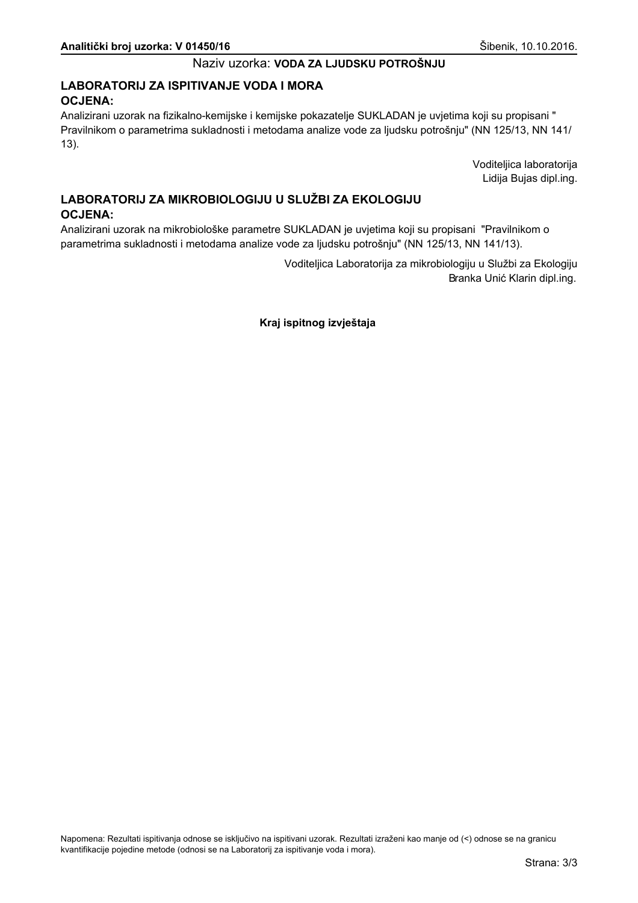## LABORATORIJ ZA ISPITIVANJE VODA I MORA **OCJENA:**

Analizirani uzorak na fizikalno-kemijske i kemijske pokazatelje SUKLADAN je uvjetima koji su propisani " Pravilnikom o parametrima sukladnosti i metodama analize vode za ljudsku potrošnju" (NN 125/13, NN 141/  $13$ ).

> Voditeljica laboratorija Lidija Bujas dipl.ing.

## LABORATORIJ ZA MIKROBIOLOGIJU U SLUŽBI ZA EKOLOGIJU **OCJENA:**

Analizirani uzorak na mikrobiološke parametre SUKLADAN je uvjetima koji su propisani "Pravilnikom o parametrima sukladnosti i metodama analize vode za ljudsku potrošnju" (NN 125/13, NN 141/13).

> Voditeljica Laboratorija za mikrobiologiju u Službi za Ekologiju Branka Unić Klarin dipl.ing.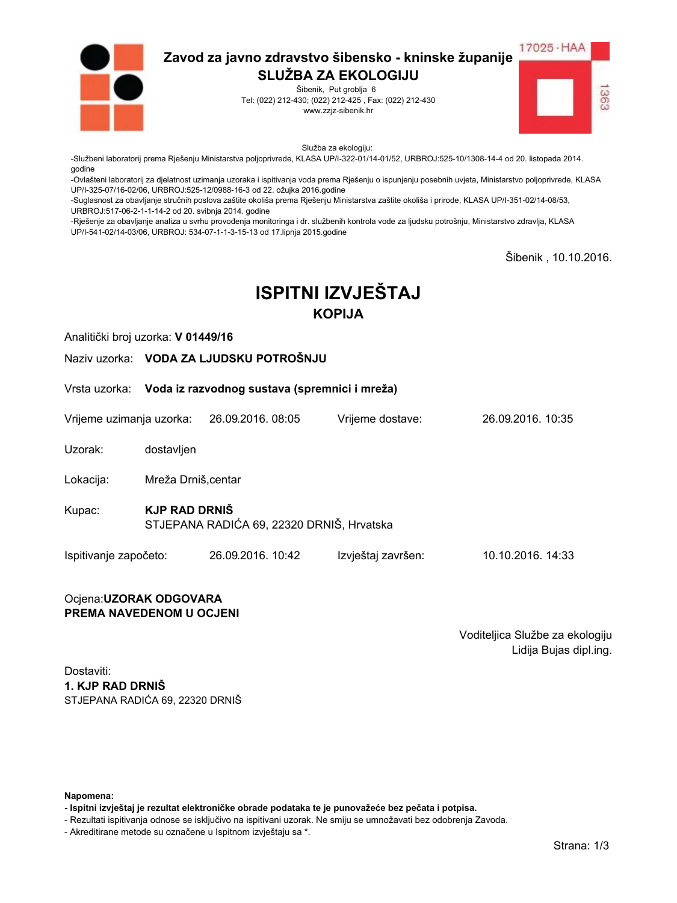

Šibenik, Put groblja 6 Tel: (022) 212-430; (022) 212-425, Fax: (022) 212-430 www.zzjz-sibenik.hr



Služba za ekologiju:

-Službeni laboratorij prema Rješenju Ministarstva poljoprivrede, KLASA UP/I-322-01/14-01/52, URBROJ:525-10/1308-14-4 od 20. listopada 2014. godine

-Ovlašteni laboratorij za djelatnost uzimanja uzoraka i ispitivanja voda prema Rješenju o ispunjenju posebnih uvjeta, Ministarstvo poljoprivrede, KLASA UP/I-325-07/16-02/06. URBROJ:525-12/0988-16-3 od 22. ožujka 2016.godine

-Suglasnost za obavljanje stručnih poslova zaštite okoliša prema Rješenju Ministarstva zaštite okoliša i prirode, KLASA UP/I-351-02/14-08/53, URBROJ:517-06-2-1-1-14-2 od 20. svibnja 2014. godine

-Rješenje za obavljanje analiza u svrhu provođenja monitoringa i dr. službenih kontrola vode za ljudsku potrošnju, Ministarstvo zdravlja, KLASA UP/I-541-02/14-03/06, URBROJ: 534-07-1-1-3-15-13 od 17.lipnja 2015.godine

Šibenik, 10.10.2016.

# **ISPITNI IZVJEŠTAJ KOPIJA**

Analitički broj uzorka: V 01449/16

Naziv uzorka: VODA ZA LJUDSKU POTROŠNJU

Vrsta uzorka: Voda iz razvodnog sustava (spremnici i mreža)

Vrijeme uzimanja uzorka: 26.09.2016, 08:05 Vrijeme dostave: 26.09.2016 10:35

Uzorak: dostavljen

Lokacija: Mreža Drniš.centar

**KJP RAD DRNIŠ** Kupac: STJEPANA RADIĆA 69, 22320 DRNIŠ, Hrvatska

Ispitivanje započeto: 26.09.2016. 10:42 Izvještaj završen: 10.10.2016. 14:33

#### Ocjena: UZORAK ODGOVARA PREMA NAVEDENOM U OCJENI

Voditeljica Službe za ekologiju Lidija Bujas dipl.ing.

Dostaviti: 1. KJP RAD DRNIŠ STJEPANA RADIĆA 69. 22320 DRNIŠ

Napomena:

- Ispitni izvještaj je rezultat elektroničke obrade podataka te je punovažeće bez pečata i potpisa.

- Rezultati ispitivanja odnose se isključivo na ispitivani uzorak. Ne smiju se umnožavati bez odobrenja Zavoda.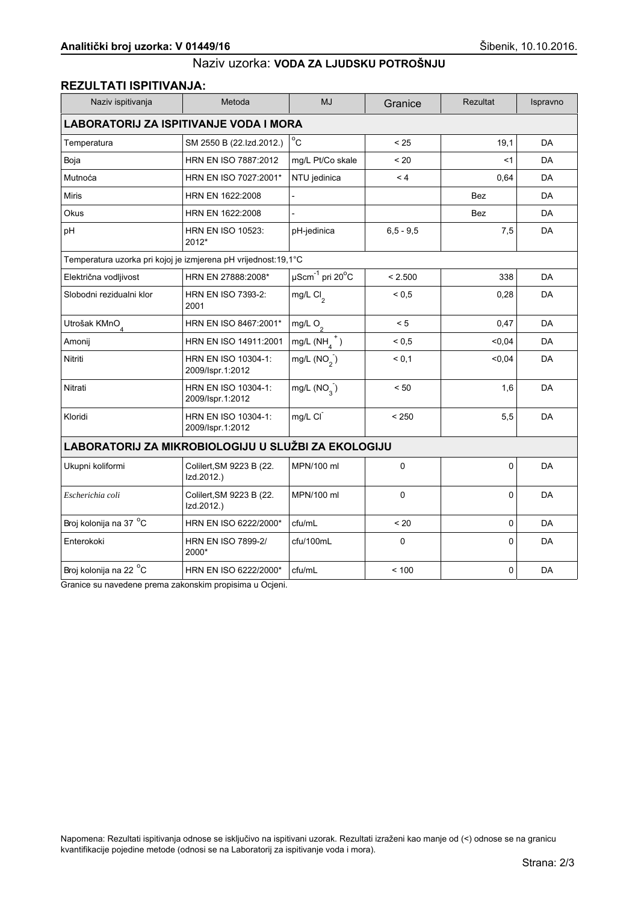## **REZULTATI ISPITIVANJA:**

| Naziv ispitivanja                                              | Metoda                                  | <b>MJ</b>                             | Granice     | Rezultat   | Ispravno  |  |
|----------------------------------------------------------------|-----------------------------------------|---------------------------------------|-------------|------------|-----------|--|
| <b>LABORATORIJ ZA ISPITIVANJE VODA I MORA</b>                  |                                         |                                       |             |            |           |  |
| Temperatura                                                    | SM 2550 B (22.Izd.2012.)                | $^{\circ}$ C                          | < 25        | 19,1       | <b>DA</b> |  |
| Boja                                                           | HRN EN ISO 7887:2012                    | mg/L Pt/Co skale                      | ~120        | $<$ 1      | DA        |  |
| Mutnoća                                                        | HRN EN ISO 7027:2001*                   | NTU jedinica                          | < 4         | 0,64       | DA        |  |
| <b>Miris</b>                                                   | HRN EN 1622:2008                        |                                       |             | <b>Bez</b> | DA        |  |
| Okus                                                           | HRN EN 1622:2008                        |                                       |             | <b>Bez</b> | <b>DA</b> |  |
| pH                                                             | <b>HRN EN ISO 10523:</b><br>2012*       | pH-jedinica                           | $6.5 - 9.5$ | 7,5        | DA        |  |
| Temperatura uzorka pri kojoj je izmjerena pH vrijednost:19,1°C |                                         |                                       |             |            |           |  |
| Električna vodljivost                                          | HRN EN 27888:2008*                      | $\mu$ Scm $^{-1}$ pri 20 $^{\circ}$ C | < 2.500     | 338        | <b>DA</b> |  |
| Slobodni rezidualni klor                                       | <b>HRN EN ISO 7393-2:</b><br>2001       | mg/L $Cl2$                            | ${}_{0.5}$  | 0,28       | DA        |  |
| Utrošak KMnO <sub>4</sub>                                      | HRN EN ISO 8467:2001*                   | mg/L $O_2$                            | < 5         | 0,47       | DA        |  |
| Amonij                                                         | HRN EN ISO 14911:2001                   | mg/L $(NH_4^+)$                       | ${}_{0,5}$  | < 0, 04    | DA        |  |
| Nitriti                                                        | HRN EN ISO 10304-1:<br>2009/Ispr.1:2012 | mg/L $(NO2)$                          | < 0,1       | 0,04       | DA        |  |
| Nitrati                                                        | HRN EN ISO 10304-1:<br>2009/Ispr.1:2012 | mg/L $(NO2)$                          | < 50        | 1.6        | DA        |  |
| Kloridi                                                        | HRN EN ISO 10304-1:<br>2009/Ispr.1:2012 | mg/L CI                               | < 250       | 5,5        | DA        |  |
| LABORATORIJ ZA MIKROBIOLOGIJU U SLUŽBI ZA EKOLOGIJU            |                                         |                                       |             |            |           |  |
| Ukupni koliformi                                               | Colilert, SM 9223 B (22.<br>Izd.2012.)  | MPN/100 ml                            | $\mathbf 0$ | 0          | DA        |  |
| Escherichia coli                                               | Colilert, SM 9223 B (22.<br>Izd.2012.)  | MPN/100 ml                            | 0           | 0          | DA        |  |
| Broj kolonija na 37 °C                                         | HRN EN ISO 6222/2000*                   | cfu/mL                                | < 20        | 0          | <b>DA</b> |  |
| Enterokoki                                                     | <b>HRN EN ISO 7899-2/</b><br>2000*      | cfu/100mL                             | $\Omega$    | $\Omega$   | DA        |  |
| Broj kolonija na 22 °C                                         | HRN EN ISO 6222/2000*                   | cfu/mL                                | < 100       | 0          | DA        |  |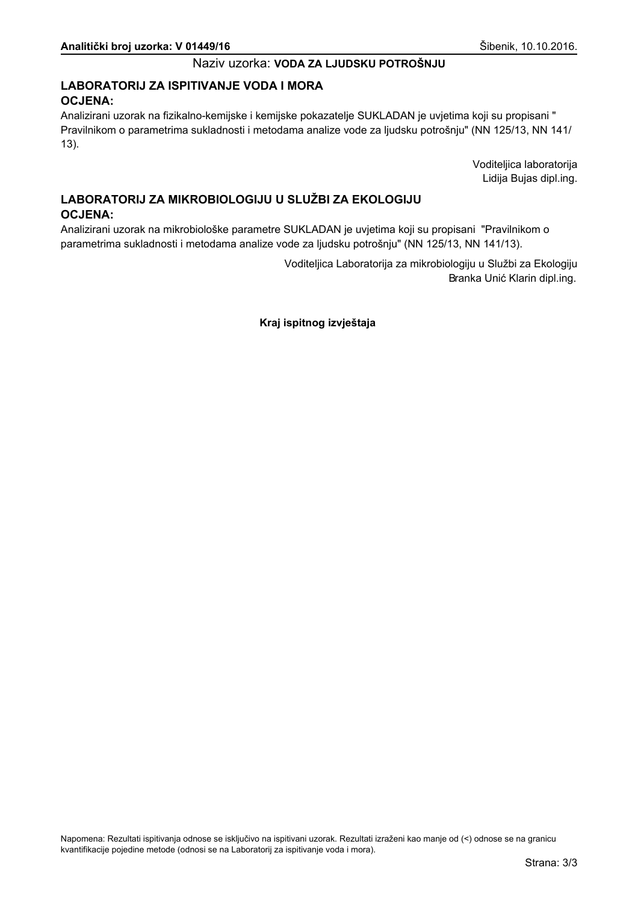## LABORATORIJ ZA ISPITIVANJE VODA I MORA **OCJENA:**

Analizirani uzorak na fizikalno-kemijske i kemijske pokazatelje SUKLADAN je uvjetima koji su propisani " Pravilnikom o parametrima sukladnosti i metodama analize vode za ljudsku potrošnju" (NN 125/13, NN 141/  $13$ ).

> Voditeljica laboratorija Lidija Bujas dipl.ing.

## LABORATORIJ ZA MIKROBIOLOGIJU U SLUŽBI ZA EKOLOGIJU **OCJENA:**

Analizirani uzorak na mikrobiološke parametre SUKLADAN je uvjetima koji su propisani "Pravilnikom o parametrima sukladnosti i metodama analize vode za ljudsku potrošnju" (NN 125/13, NN 141/13).

> Voditeljica Laboratorija za mikrobiologiju u Službi za Ekologiju Branka Unić Klarin dipl.ing.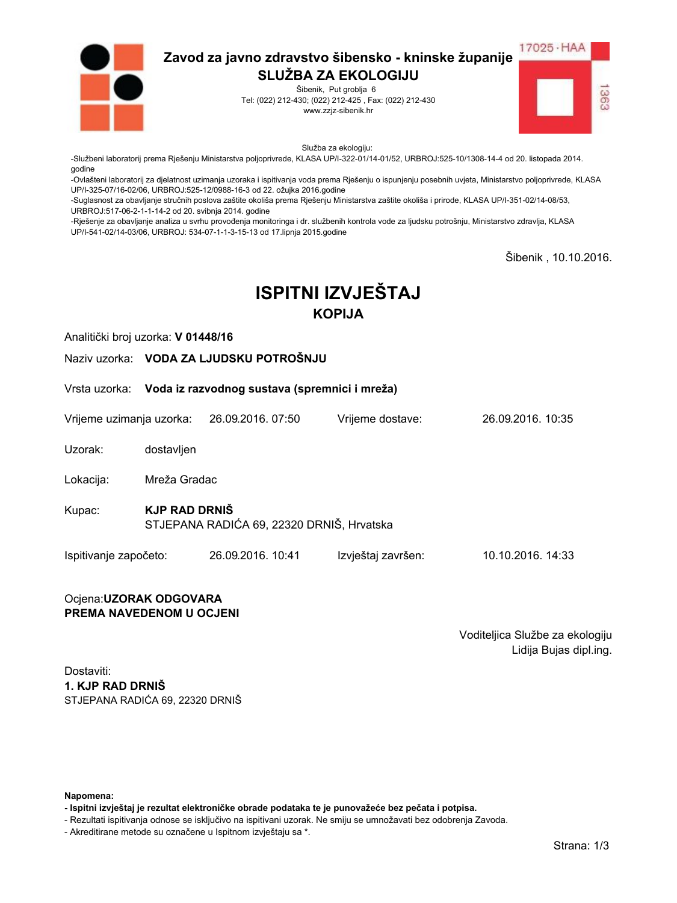

Šibenik, Put groblja 6 Tel: (022) 212-430; (022) 212-425, Fax: (022) 212-430 www.zzjz-sibenik.hr



Služba za ekologiju:

-Službeni laboratorij prema Rješenju Ministarstva poljoprivrede, KLASA UP/I-322-01/14-01/52, URBROJ:525-10/1308-14-4 od 20. listopada 2014. godine

-<br>-Ovlašteni laboratorij za djelatnost uzimanja uzoraka i ispitivanja voda prema Rješenju o ispunjenju posebnih uvjeta, Ministarstvo poljoprivrede, KLASA UP/I-325-07/16-02/06. URBROJ:525-12/0988-16-3 od 22. ožujka 2016.godine

-Suglasnost za obavljanje stručnih poslova zaštite okoliša prema Rješenju Ministarstva zaštite okoliša i prirode, KLASA UP/I-351-02/14-08/53, URBROJ:517-06-2-1-1-14-2 od 20. svibnja 2014. godine

-Rješenje za obavljanje analiza u svrhu provođenja monitoringa i dr. službenih kontrola vode za ljudsku potrošnju, Ministarstvo zdravlja, KLASA UP/I-541-02/14-03/06, URBROJ: 534-07-1-1-3-15-13 od 17.lipnja 2015.godine

Šibenik, 10.10.2016.

# **ISPITNI IZVJEŠTAJ KOPIJA**

Analitički broj uzorka: V 01448/16

Naziv uzorka: VODA ZA LJUDSKU POTROŠNJU

Vrsta uzorka: Voda iz razvodnog sustava (spremnici i mreža)

Vrijeme uzimanja uzorka: 26.09.2016, 07:50 Vrijeme dostave:

Uzorak: dostavljen

Mreža Gradac Lokacija:

**KJP RAD DRNIŠ** Kupac: STJEPANA RADIĆA 69, 22320 DRNIŠ, Hrvatska

Ispitivanje započeto: 26.09.2016. 10:41 Izvještaj završen: 10.10.2016. 14:33

#### Ocjena: UZORAK ODGOVARA PREMA NAVEDENOM U OCJENI

Voditeljica Službe za ekologiju Lidija Bujas dipl.ing.

26.09.2016 10:35

Dostaviti: 1. KJP RAD DRNIŠ STJEPANA RADIĆA 69. 22320 DRNIŠ

Napomena:

- Ispitni izvještaj je rezultat elektroničke obrade podataka te je punovažeće bez pečata i potpisa.

- Rezultati ispitivanja odnose se isključivo na ispitivani uzorak. Ne smiju se umnožavati bez odobrenja Zavoda.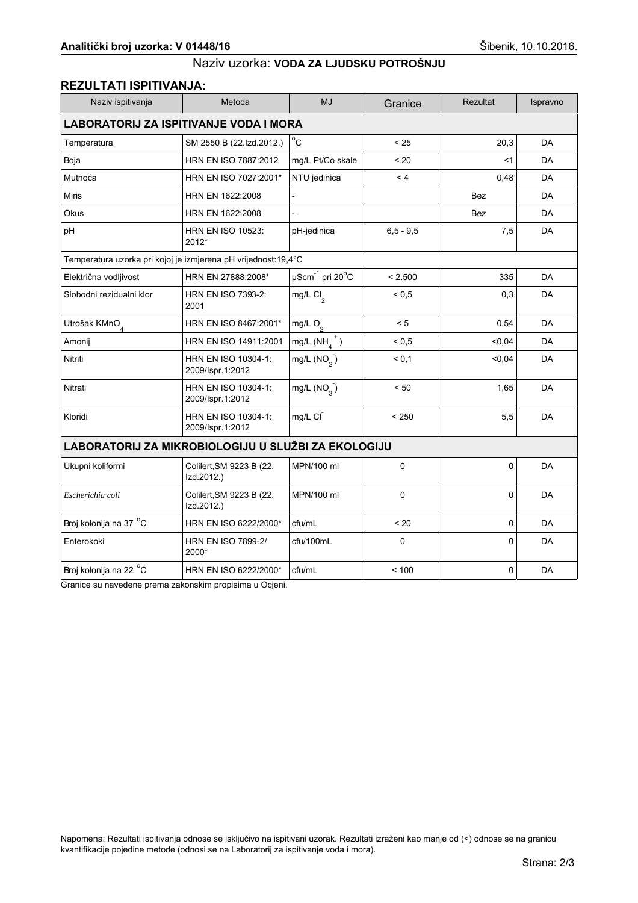## **REZULTATI ISPITIVANJA:**

| Naziv ispitivanja                                              | Metoda                                  | <b>MJ</b>                             | Granice     | Rezultat   | Ispravno  |  |
|----------------------------------------------------------------|-----------------------------------------|---------------------------------------|-------------|------------|-----------|--|
| <b>LABORATORIJ ZA ISPITIVANJE VODA I MORA</b>                  |                                         |                                       |             |            |           |  |
| Temperatura                                                    | SM 2550 B (22.Izd.2012.)                | $^{\circ}$ C                          | < 25        | 20,3       | <b>DA</b> |  |
| Boja                                                           | HRN EN ISO 7887:2012                    | mg/L Pt/Co skale                      | ~120        | <1         | DA        |  |
| Mutnoća                                                        | HRN EN ISO 7027:2001*                   | NTU jedinica                          | < 4         | 0,48       | DA        |  |
| <b>Miris</b>                                                   | HRN EN 1622:2008                        |                                       |             | <b>Bez</b> | DA        |  |
| Okus                                                           | HRN EN 1622:2008                        |                                       |             | <b>Bez</b> | <b>DA</b> |  |
| pH                                                             | <b>HRN EN ISO 10523:</b><br>2012*       | pH-jedinica                           | $6.5 - 9.5$ | 7,5        | DA        |  |
| Temperatura uzorka pri kojoj je izmjerena pH vrijednost:19,4°C |                                         |                                       |             |            |           |  |
| Električna vodljivost                                          | HRN EN 27888:2008*                      | $\mu$ Scm $^{-1}$ pri 20 $^{\circ}$ C | < 2.500     | 335        | <b>DA</b> |  |
| Slobodni rezidualni klor                                       | <b>HRN EN ISO 7393-2:</b><br>2001       | mg/L $Cl2$                            | ${}_{0.5}$  | 0,3        | DA        |  |
| Utrošak KMnO <sub>4</sub>                                      | HRN EN ISO 8467:2001*                   | mg/L $O_2$                            | < 5         | 0,54       | DA        |  |
| Amonij                                                         | HRN EN ISO 14911:2001                   | mg/L $(NH_4^+)$                       | ${}_{0,5}$  | < 0, 04    | DA        |  |
| Nitriti                                                        | HRN EN ISO 10304-1:<br>2009/Ispr.1:2012 | mg/L $(NO2)$                          | < 0,1       | 0,04       | DA        |  |
| Nitrati                                                        | HRN EN ISO 10304-1:<br>2009/Ispr.1:2012 | mg/L $(NO2)$                          | < 50        | 1,65       | DA        |  |
| Kloridi                                                        | HRN EN ISO 10304-1:<br>2009/Ispr.1:2012 | mg/L CI                               | < 250       | 5,5        | <b>DA</b> |  |
| LABORATORIJ ZA MIKROBIOLOGIJU U SLUŽBI ZA EKOLOGIJU            |                                         |                                       |             |            |           |  |
| Ukupni koliformi                                               | Colilert, SM 9223 B (22.<br>Izd.2012.)  | MPN/100 ml                            | $\mathbf 0$ | 0          | DA        |  |
| Escherichia coli                                               | Colilert, SM 9223 B (22.<br>Izd.2012.)  | MPN/100 ml                            | 0           | 0          | DA        |  |
| Broj kolonija na 37 °C                                         | HRN EN ISO 6222/2000*                   | cfu/mL                                | < 20        | 0          | <b>DA</b> |  |
| Enterokoki                                                     | <b>HRN EN ISO 7899-2/</b><br>2000*      | cfu/100mL                             | $\Omega$    | $\Omega$   | DA        |  |
| Broj kolonija na 22 °C                                         | HRN EN ISO 6222/2000*                   | cfu/mL                                | < 100       | 0          | DA        |  |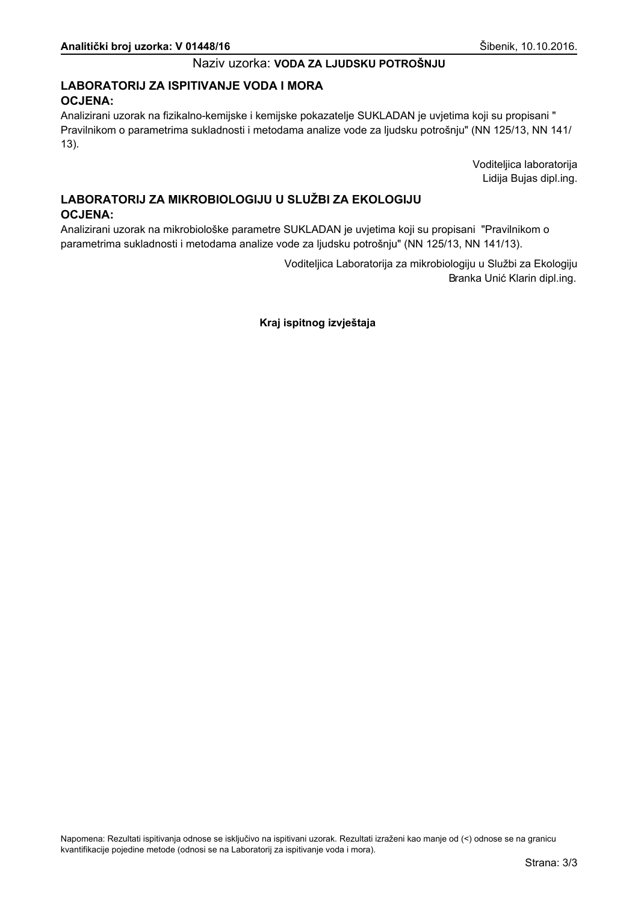## LABORATORIJ ZA ISPITIVANJE VODA I MORA **OCJENA:**

Analizirani uzorak na fizikalno-kemijske i kemijske pokazatelje SUKLADAN je uvjetima koji su propisani " Pravilnikom o parametrima sukladnosti i metodama analize vode za ljudsku potrošnju" (NN 125/13, NN 141/  $13$ ).

> Voditeljica laboratorija Lidija Bujas dipl.ing.

## LABORATORIJ ZA MIKROBIOLOGIJU U SLUŽBI ZA EKOLOGIJU **OCJENA:**

Analizirani uzorak na mikrobiološke parametre SUKLADAN je uvjetima koji su propisani "Pravilnikom o parametrima sukladnosti i metodama analize vode za ljudsku potrošnju" (NN 125/13, NN 141/13).

> Voditeljica Laboratorija za mikrobiologiju u Službi za Ekologiju Branka Unić Klarin dipl.ing.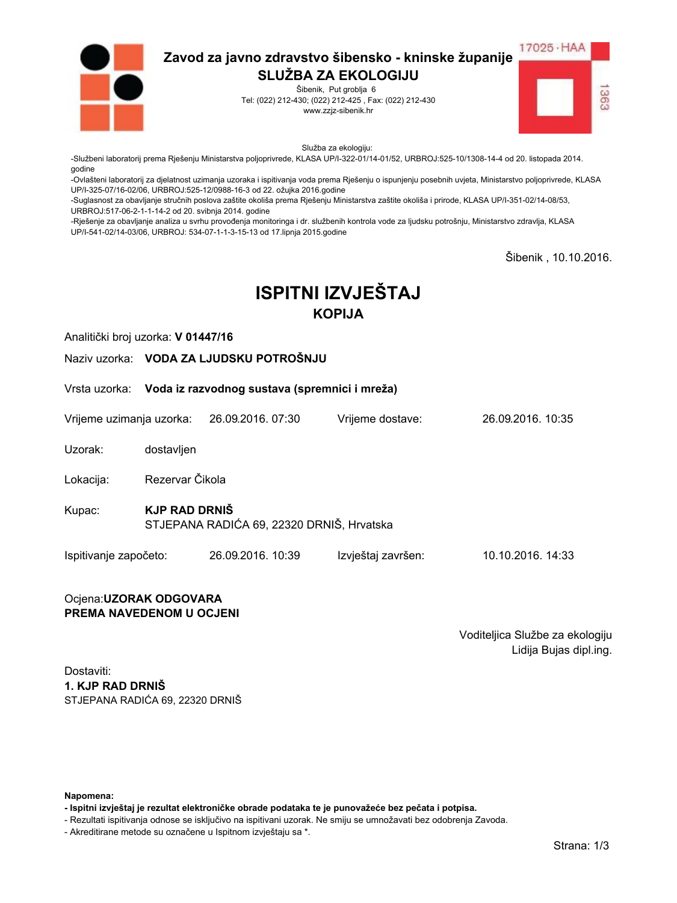

Šibenik, Put groblja 6 Tel: (022) 212-430; (022) 212-425, Fax: (022) 212-430 www.zzjz-sibenik.hr



Služba za ekologiju:

-Službeni laboratorij prema Rješenju Ministarstva poljoprivrede, KLASA UP/I-322-01/14-01/52, URBROJ:525-10/1308-14-4 od 20. listopada 2014. godine

-Ovlašteni laboratorij za djelatnost uzimanja uzoraka i ispitivanja voda prema Rješenju o ispunjenju posebnih uvjeta, Ministarstvo poljoprivrede, KLASA UP/I-325-07/16-02/06. URBROJ:525-12/0988-16-3 od 22. ožujka 2016.godine

-Suglasnost za obavljanje stručnih poslova zaštite okoliša prema Rješenju Ministarstva zaštite okoliša i prirode, KLASA UP/I-351-02/14-08/53, URBROJ:517-06-2-1-1-14-2 od 20. svibnja 2014. godine

-Rješenje za obavljanje analiza u svrhu provođenja monitoringa i dr. službenih kontrola vode za ljudsku potrošnju, Ministarstvo zdravlja, KLASA UP/I-541-02/14-03/06, URBROJ: 534-07-1-1-3-15-13 od 17.lipnja 2015.godine

Šibenik, 10.10.2016.

# **ISPITNI IZVJEŠTAJ KOPIJA**

Analitički broj uzorka: V 01447/16

Naziv uzorka: VODA ZA LJUDSKU POTROŠNJU

Vrsta uzorka: Voda iz razvodnog sustava (spremnici i mreža)

Vrijeme uzimanja uzorka: 26.09.2016, 07:30 Vrijeme dostave:

Uzorak: dostavljen

Rezervar Čikola Lokacija:

**KJP RAD DRNIŠ** Kupac: STJEPANA RADIĆA 69, 22320 DRNIŠ, Hrvatska

Ispitivanje započeto: 26.09.2016. 10:39 Izvještaj završen: 10.10.2016. 14:33

#### Ocjena: UZORAK ODGOVARA PREMA NAVEDENOM U OCJENI

Voditeljica Službe za ekologiju Lidija Bujas dipl.ing.

26.09.2016 10:35

Dostaviti: 1. KJP RAD DRNIŠ STJEPANA RADIĆA 69. 22320 DRNIŠ

Napomena:

- Ispitni izvještaj je rezultat elektroničke obrade podataka te je punovažeće bez pečata i potpisa.

- Rezultati ispitivanja odnose se isključivo na ispitivani uzorak. Ne smiju se umnožavati bez odobrenja Zavoda.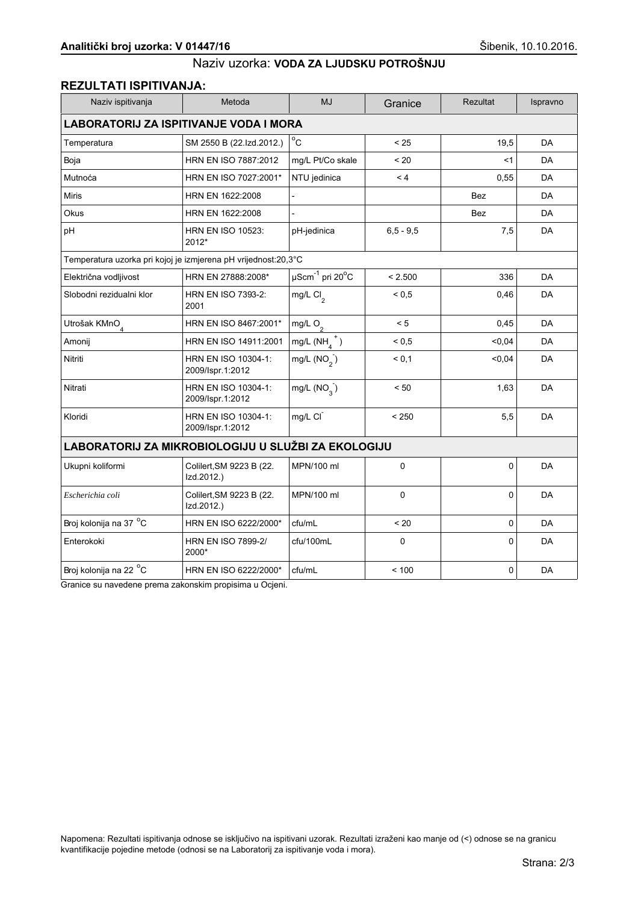## **REZULTATI ISPITIVANJA:**

| Naziv ispitivanja                                              | Metoda                                  | <b>MJ</b>                             | Granice     | Rezultat   | Ispravno  |  |
|----------------------------------------------------------------|-----------------------------------------|---------------------------------------|-------------|------------|-----------|--|
| <b>LABORATORIJ ZA ISPITIVANJE VODA I MORA</b>                  |                                         |                                       |             |            |           |  |
| Temperatura                                                    | SM 2550 B (22.Izd.2012.)                | $^{\circ}$ C                          | < 25        | 19,5       | <b>DA</b> |  |
| Boja                                                           | HRN EN ISO 7887:2012                    | mg/L Pt/Co skale                      | ~120        | $<$ 1      | DA        |  |
| Mutnoća                                                        | HRN EN ISO 7027:2001*                   | NTU jedinica                          | < 4         | 0,55       | DA        |  |
| <b>Miris</b>                                                   | HRN EN 1622:2008                        |                                       |             | <b>Bez</b> | DA        |  |
| Okus                                                           | HRN EN 1622:2008                        |                                       |             | <b>Bez</b> | <b>DA</b> |  |
| pH                                                             | <b>HRN EN ISO 10523:</b><br>2012*       | pH-jedinica                           | $6.5 - 9.5$ | 7,5        | DA        |  |
| Temperatura uzorka pri kojoj je izmjerena pH vrijednost:20,3°C |                                         |                                       |             |            |           |  |
| Električna vodljivost                                          | HRN EN 27888:2008*                      | $\mu$ Scm $^{-1}$ pri 20 $^{\circ}$ C | < 2.500     | 336        | <b>DA</b> |  |
| Slobodni rezidualni klor                                       | <b>HRN EN ISO 7393-2:</b><br>2001       | mg/L $Cl2$                            | ${}_{0.5}$  | 0,46       | DA        |  |
| Utrošak KMnO <sub>4</sub>                                      | HRN EN ISO 8467:2001*                   | mg/L $O_2$                            | < 5         | 0,45       | DA        |  |
| Amonij                                                         | HRN EN ISO 14911:2001                   | mg/L $(NH_4^+)$                       | ${}_{0,5}$  | < 0, 04    | DA        |  |
| Nitriti                                                        | HRN EN ISO 10304-1:<br>2009/Ispr.1:2012 | mg/L $(NO2)$                          | < 0,1       | 0,04       | DA        |  |
| Nitrati                                                        | HRN EN ISO 10304-1:<br>2009/Ispr.1:2012 | mg/L $(NO2)$                          | < 50        | 1,63       | DA        |  |
| Kloridi                                                        | HRN EN ISO 10304-1:<br>2009/Ispr.1:2012 | mg/L CI                               | < 250       | 5,5        | DA        |  |
| LABORATORIJ ZA MIKROBIOLOGIJU U SLUŽBI ZA EKOLOGIJU            |                                         |                                       |             |            |           |  |
| Ukupni koliformi                                               | Colilert, SM 9223 B (22.<br>Izd.2012.)  | MPN/100 ml                            | $\mathbf 0$ | 0          | DA        |  |
| Escherichia coli                                               | Colilert, SM 9223 B (22.<br>Izd.2012.)  | MPN/100 ml                            | 0           | 0          | DA        |  |
| Broj kolonija na 37 °C                                         | HRN EN ISO 6222/2000*                   | cfu/mL                                | < 20        | 0          | <b>DA</b> |  |
| Enterokoki                                                     | <b>HRN EN ISO 7899-2/</b><br>2000*      | cfu/100mL                             | $\Omega$    | $\Omega$   | DA        |  |
| Broj kolonija na 22 °C                                         | HRN EN ISO 6222/2000*                   | cfu/mL                                | < 100       | 0          | DA        |  |